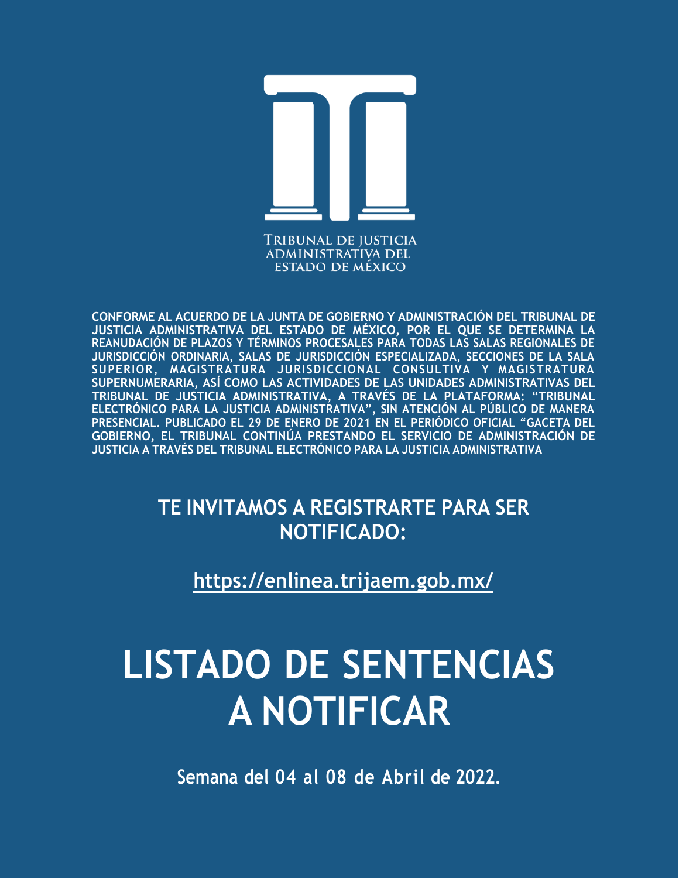

**ADMINISTRATIVA DEL ESTADO DE MÉXICO** 

**CONFORME AL ACUERDO DE LA JUNTA DE GOBIERNO Y ADMINISTRACIÓN DEL TRIBUNAL DE JUSTICIA ADMINISTRATIVA DEL ESTADO DE MÉXICO, POR EL QUE SE DETERMINA LA REANUDACIÓN DE PLAZOS Y TÉRMINOS PROCESALES PARA TODAS LAS SALAS REGIONALES DE JURISDICCIÓN ORDINARIA, SALAS DE JURISDICCIÓN ESPECIALIZADA, SECCIONES DE LA SALA SUPERIOR, MAGISTRATURA JURISDICCIONAL CONSULTIVA Y MAGISTRATURA SUPERNUMERARIA, ASÍ COMO LAS ACTIVIDADES DE LAS UNIDADES ADMINISTRATIVAS DEL TRIBUNAL DE JUSTICIA ADMINISTRATIVA, A TRAVÉS DE LA PLATAFORMA: "TRIBUNAL** ELECTRÓNICO PARA LA JUSTICIA ADMINISTRATIVA", SIN ATENCIÓN AL PÚBLICO DE MANERA **PRESENCIAL. PUBLICADO EL 29 DE ENERO DE 2021 EN EL PERIÓDICO OFICIAL "GACETA DEL GOBIERNO, EL TRIBUNAL CONTINÚA PRESTANDO EL SERVICIO DE ADMINISTRACIÓN DE JUSTICIA A TRAVÉS DEL TRIBUNAL ELECTRÓNICO PARA LA JUSTICIA ADMINISTRATIVA**

# **TE INVITAMOS A REGISTRARTE PARA SER NOTIFICADO:**

**https://enlinea.trijaem.gob.mx/**

# **LISTADO DE SENTENCIAS A NOTIFICAR**

**Semana del 04 al 08 de Abril de 2022.**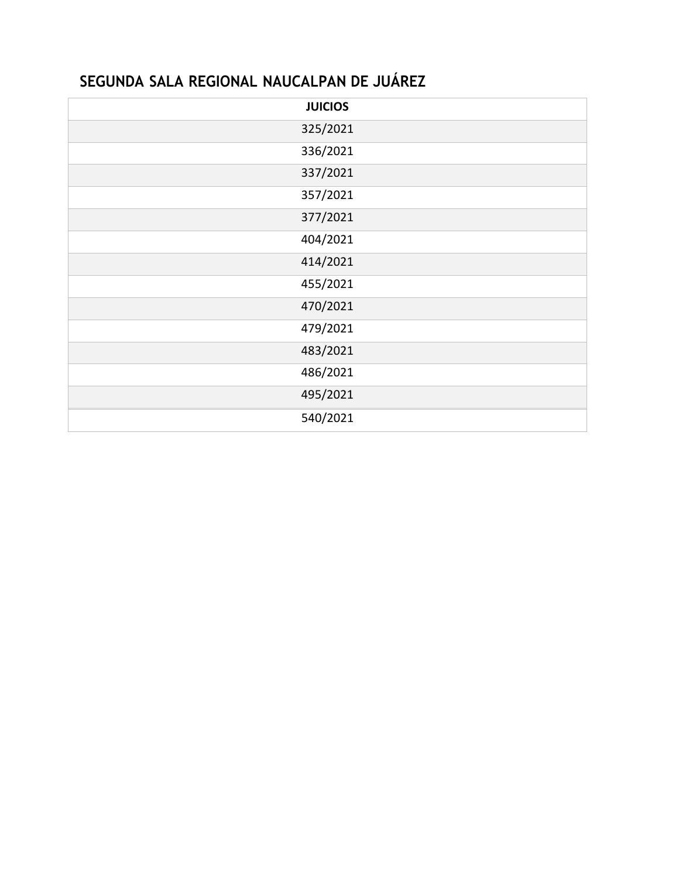## **SEGUNDA SALA REGIONAL NAUCALPAN DE JUÁREZ**

| <b>JUICIOS</b> |
|----------------|
| 325/2021       |
| 336/2021       |
| 337/2021       |
| 357/2021       |
| 377/2021       |
| 404/2021       |
| 414/2021       |
| 455/2021       |
| 470/2021       |
| 479/2021       |
| 483/2021       |
| 486/2021       |
| 495/2021       |
| 540/2021       |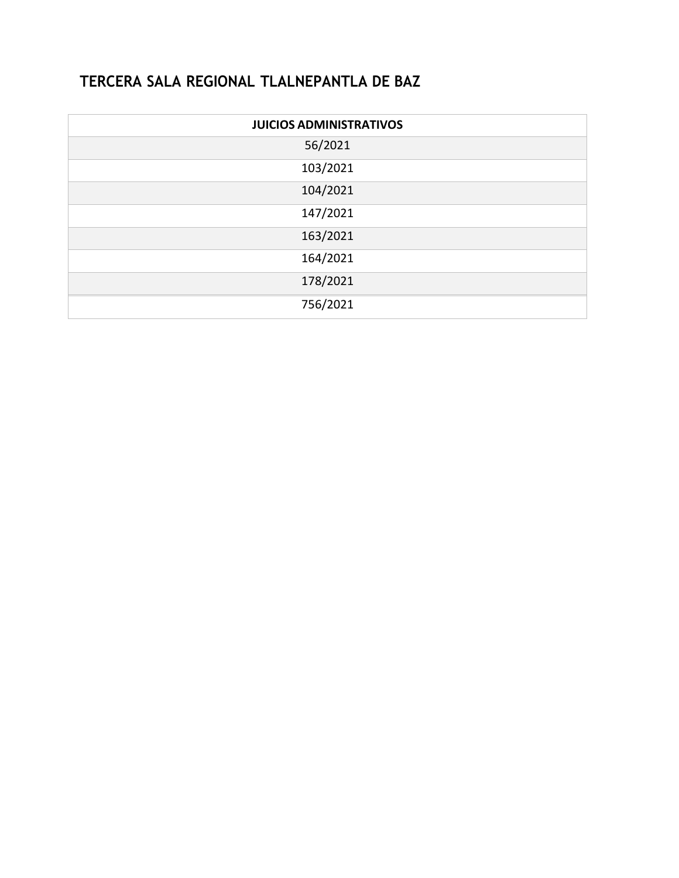## **TERCERA SALA REGIONAL TLALNEPANTLA DE BAZ**

| <b>JUICIOS ADMINISTRATIVOS</b> |
|--------------------------------|
| 56/2021                        |
| 103/2021                       |
| 104/2021                       |
| 147/2021                       |
| 163/2021                       |
| 164/2021                       |
| 178/2021                       |
| 756/2021                       |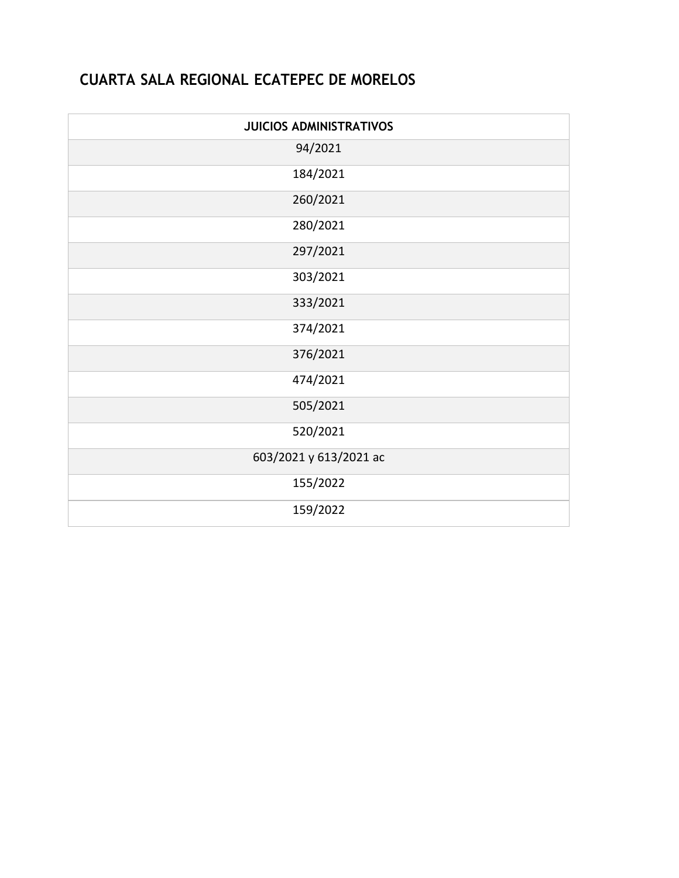### **CUARTA SALA REGIONAL ECATEPEC DE MORELOS**

| <b>JUICIOS ADMINISTRATIVOS</b> |
|--------------------------------|
| 94/2021                        |
| 184/2021                       |
| 260/2021                       |
| 280/2021                       |
| 297/2021                       |
| 303/2021                       |
| 333/2021                       |
| 374/2021                       |
| 376/2021                       |
| 474/2021                       |
| 505/2021                       |
| 520/2021                       |
| 603/2021 y 613/2021 ac         |
| 155/2022                       |
| 159/2022                       |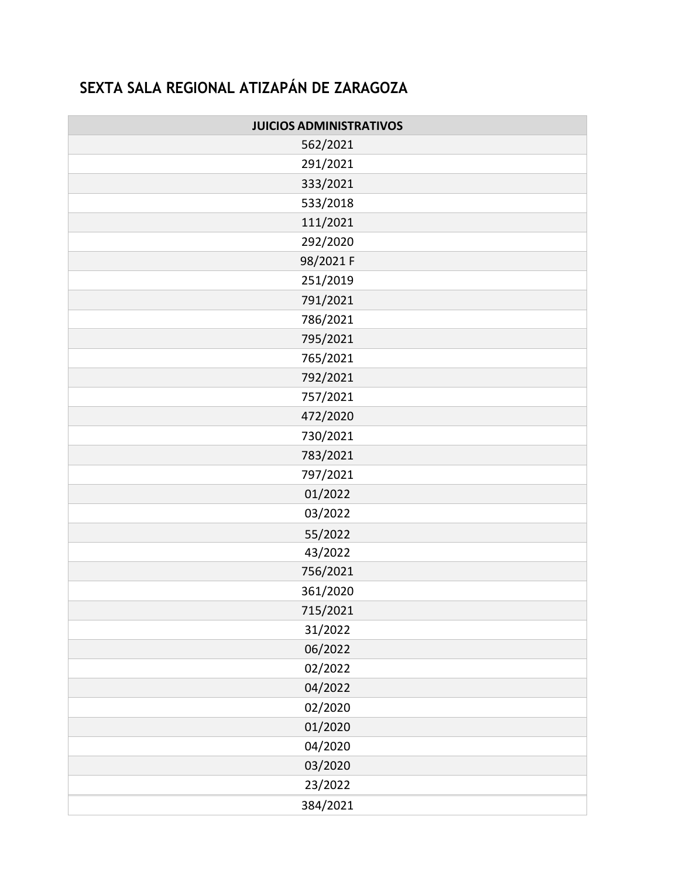# **SEXTA SALA REGIONAL ATIZAPÁN DE ZARAGOZA**

| <b>JUICIOS ADMINISTRATIVOS</b> |  |  |  |
|--------------------------------|--|--|--|
| 562/2021                       |  |  |  |
| 291/2021                       |  |  |  |
| 333/2021                       |  |  |  |
| 533/2018                       |  |  |  |
| 111/2021                       |  |  |  |
| 292/2020                       |  |  |  |
| 98/2021 F                      |  |  |  |
| 251/2019                       |  |  |  |
| 791/2021                       |  |  |  |
| 786/2021                       |  |  |  |
| 795/2021                       |  |  |  |
| 765/2021                       |  |  |  |
| 792/2021                       |  |  |  |
| 757/2021                       |  |  |  |
| 472/2020                       |  |  |  |
| 730/2021                       |  |  |  |
| 783/2021                       |  |  |  |
| 797/2021                       |  |  |  |
| 01/2022                        |  |  |  |
| 03/2022                        |  |  |  |
| 55/2022                        |  |  |  |
| 43/2022                        |  |  |  |
| 756/2021                       |  |  |  |
| 361/2020                       |  |  |  |
| 715/2021                       |  |  |  |
| 31/2022                        |  |  |  |
| 06/2022                        |  |  |  |
| 02/2022                        |  |  |  |
| 04/2022                        |  |  |  |
| 02/2020                        |  |  |  |
| 01/2020                        |  |  |  |
| 04/2020                        |  |  |  |
| 03/2020                        |  |  |  |
| 23/2022                        |  |  |  |
| 384/2021                       |  |  |  |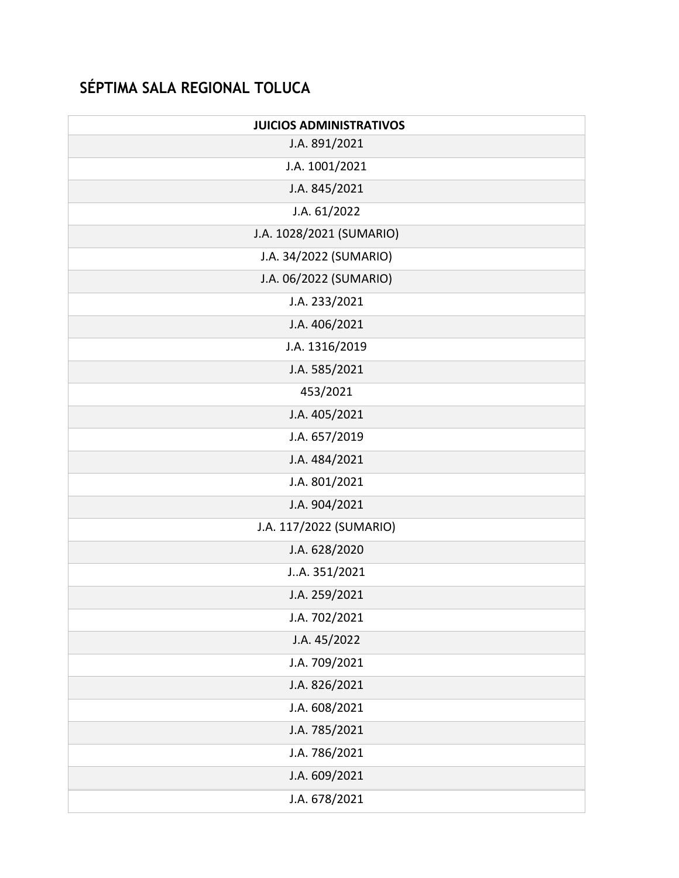# **SÉPTIMA SALA REGIONAL TOLUCA**

| <b>JUICIOS ADMINISTRATIVOS</b> |  |  |  |
|--------------------------------|--|--|--|
| J.A. 891/2021                  |  |  |  |
| J.A. 1001/2021                 |  |  |  |
| J.A. 845/2021                  |  |  |  |
| J.A. 61/2022                   |  |  |  |
| J.A. 1028/2021 (SUMARIO)       |  |  |  |
| J.A. 34/2022 (SUMARIO)         |  |  |  |
| J.A. 06/2022 (SUMARIO)         |  |  |  |
| J.A. 233/2021                  |  |  |  |
| J.A. 406/2021                  |  |  |  |
| J.A. 1316/2019                 |  |  |  |
| J.A. 585/2021                  |  |  |  |
| 453/2021                       |  |  |  |
| J.A. 405/2021                  |  |  |  |
| J.A. 657/2019                  |  |  |  |
| J.A. 484/2021                  |  |  |  |
| J.A. 801/2021                  |  |  |  |
| J.A. 904/2021                  |  |  |  |
| J.A. 117/2022 (SUMARIO)        |  |  |  |
| J.A. 628/2020                  |  |  |  |
| JA. 351/2021                   |  |  |  |
| J.A. 259/2021                  |  |  |  |
| J.A. 702/2021                  |  |  |  |
| J.A. 45/2022                   |  |  |  |
| J.A. 709/2021                  |  |  |  |
| J.A. 826/2021                  |  |  |  |
| J.A. 608/2021                  |  |  |  |
| J.A. 785/2021                  |  |  |  |
| J.A. 786/2021                  |  |  |  |
| J.A. 609/2021                  |  |  |  |
| J.A. 678/2021                  |  |  |  |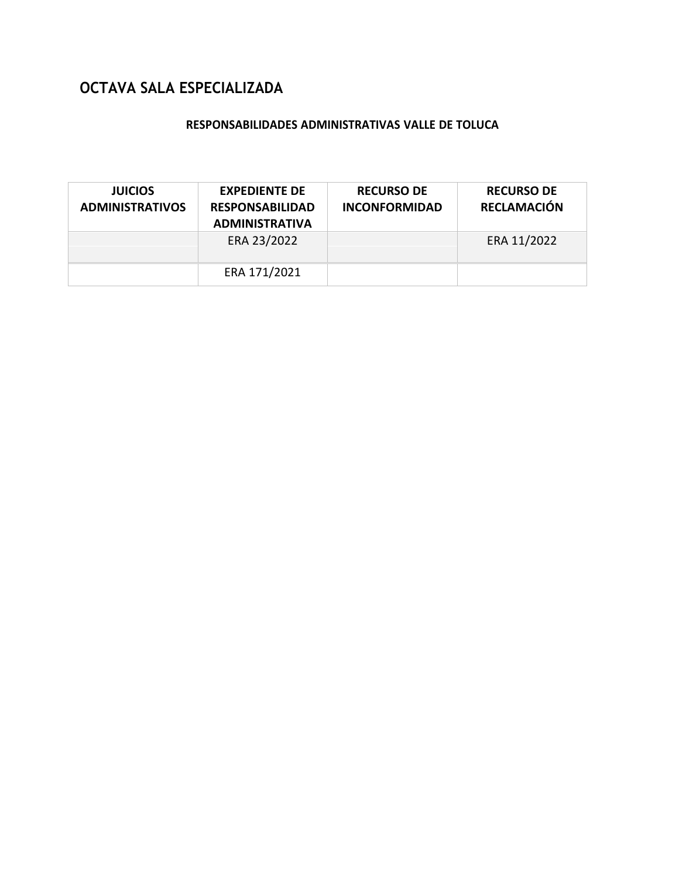## **OCTAVA SALA ESPECIALIZADA**

#### **RESPONSABILIDADES ADMINISTRATIVAS VALLE DE TOLUCA**

| <b>JUICIOS</b><br><b>ADMINISTRATIVOS</b> | <b>EXPEDIENTE DE</b><br><b>RESPONSABILIDAD</b><br><b>ADMINISTRATIVA</b> | <b>RECURSO DE</b><br><b>INCONFORMIDAD</b> | <b>RECURSO DE</b><br><b>RECLAMACIÓN</b> |
|------------------------------------------|-------------------------------------------------------------------------|-------------------------------------------|-----------------------------------------|
|                                          | ERA 23/2022                                                             |                                           | ERA 11/2022                             |
|                                          | ERA 171/2021                                                            |                                           |                                         |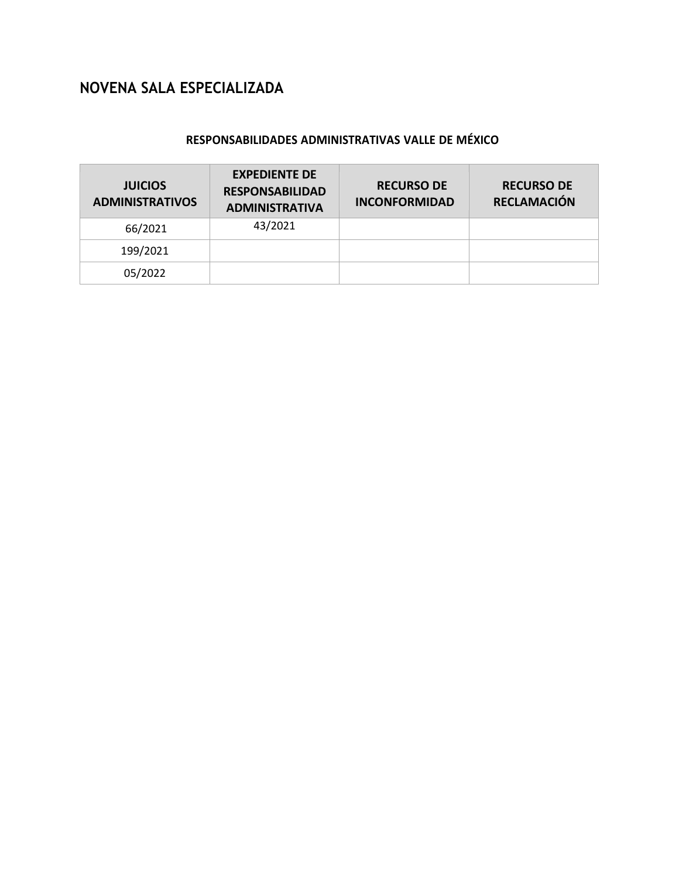## **NOVENA SALA ESPECIALIZADA**

#### **RESPONSABILIDADES ADMINISTRATIVAS VALLE DE MÉXICO**

| <b>JUICIOS</b><br><b>ADMINISTRATIVOS</b> | <b>EXPEDIENTE DE</b><br><b>RESPONSABILIDAD</b><br><b>ADMINISTRATIVA</b> | <b>RECURSO DE</b><br><b>INCONFORMIDAD</b> | <b>RECURSO DE</b><br><b>RECLAMACIÓN</b> |
|------------------------------------------|-------------------------------------------------------------------------|-------------------------------------------|-----------------------------------------|
| 66/2021                                  | 43/2021                                                                 |                                           |                                         |
| 199/2021                                 |                                                                         |                                           |                                         |
| 05/2022                                  |                                                                         |                                           |                                         |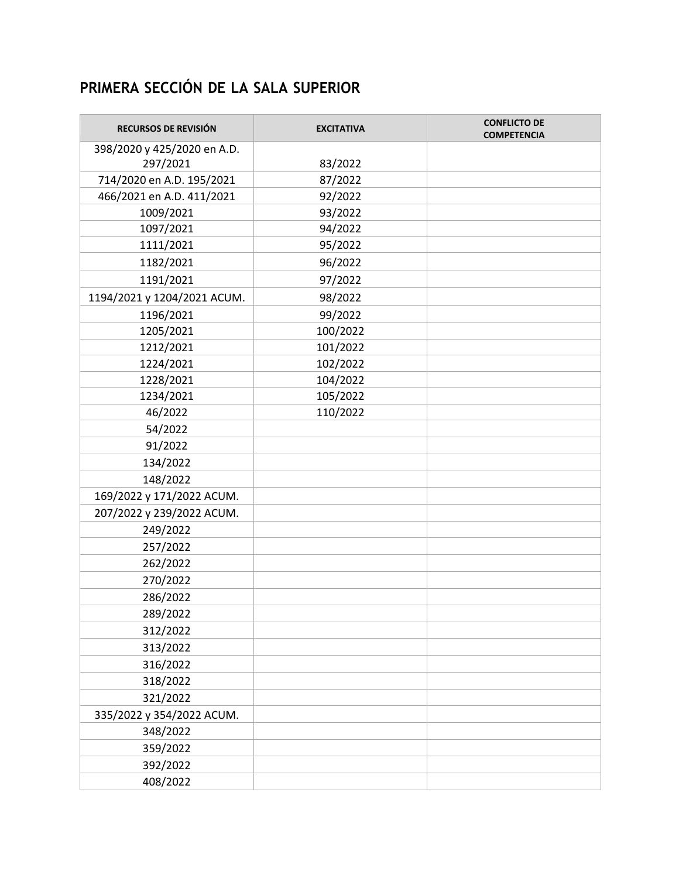# **PRIMERA SECCIÓN DE LA SALA SUPERIOR**

| RECURSOS DE REVISIÓN        | <b>EXCITATIVA</b> | <b>CONFLICTO DE</b><br><b>COMPETENCIA</b> |
|-----------------------------|-------------------|-------------------------------------------|
| 398/2020 y 425/2020 en A.D. |                   |                                           |
| 297/2021                    | 83/2022           |                                           |
| 714/2020 en A.D. 195/2021   | 87/2022           |                                           |
| 466/2021 en A.D. 411/2021   | 92/2022           |                                           |
| 1009/2021                   | 93/2022           |                                           |
| 1097/2021                   | 94/2022           |                                           |
| 1111/2021                   | 95/2022           |                                           |
| 1182/2021                   | 96/2022           |                                           |
| 1191/2021                   | 97/2022           |                                           |
| 1194/2021 y 1204/2021 ACUM. | 98/2022           |                                           |
| 1196/2021                   | 99/2022           |                                           |
| 1205/2021                   | 100/2022          |                                           |
| 1212/2021                   | 101/2022          |                                           |
| 1224/2021                   | 102/2022          |                                           |
| 1228/2021                   | 104/2022          |                                           |
| 1234/2021                   | 105/2022          |                                           |
| 46/2022                     | 110/2022          |                                           |
| 54/2022                     |                   |                                           |
| 91/2022                     |                   |                                           |
| 134/2022                    |                   |                                           |
| 148/2022                    |                   |                                           |
| 169/2022 y 171/2022 ACUM.   |                   |                                           |
| 207/2022 y 239/2022 ACUM.   |                   |                                           |
| 249/2022                    |                   |                                           |
| 257/2022                    |                   |                                           |
| 262/2022                    |                   |                                           |
| 270/2022                    |                   |                                           |
| 286/2022                    |                   |                                           |
| 289/2022                    |                   |                                           |
| 312/2022                    |                   |                                           |
| 313/2022                    |                   |                                           |
| 316/2022                    |                   |                                           |
| 318/2022                    |                   |                                           |
| 321/2022                    |                   |                                           |
| 335/2022 y 354/2022 ACUM.   |                   |                                           |
| 348/2022                    |                   |                                           |
| 359/2022                    |                   |                                           |
| 392/2022                    |                   |                                           |
| 408/2022                    |                   |                                           |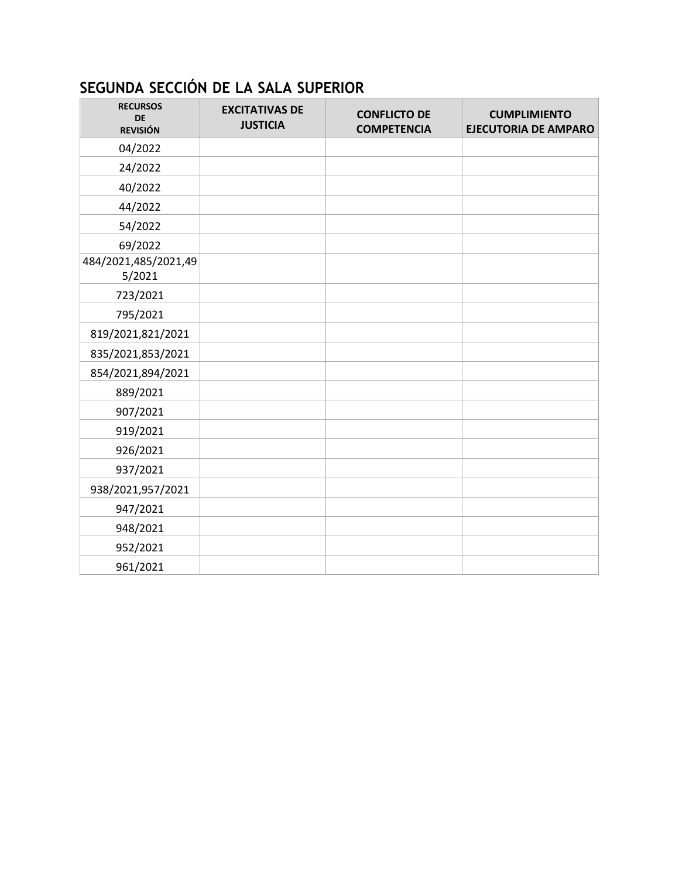# **SEGUNDA SECCIÓN DE LA SALA SUPERIOR**

| <b>RECURSOS</b><br><b>DE</b><br><b>REVISIÓN</b> | <b>EXCITATIVAS DE</b><br><b>JUSTICIA</b> | <b>CONFLICTO DE</b><br><b>COMPETENCIA</b> | <b>CUMPLIMIENTO</b><br><b>EJECUTORIA DE AMPARO</b> |
|-------------------------------------------------|------------------------------------------|-------------------------------------------|----------------------------------------------------|
| 04/2022                                         |                                          |                                           |                                                    |
| 24/2022                                         |                                          |                                           |                                                    |
| 40/2022                                         |                                          |                                           |                                                    |
| 44/2022                                         |                                          |                                           |                                                    |
| 54/2022                                         |                                          |                                           |                                                    |
| 69/2022                                         |                                          |                                           |                                                    |
| 484/2021,485/2021,49<br>5/2021                  |                                          |                                           |                                                    |
| 723/2021                                        |                                          |                                           |                                                    |
| 795/2021                                        |                                          |                                           |                                                    |
| 819/2021,821/2021                               |                                          |                                           |                                                    |
| 835/2021,853/2021                               |                                          |                                           |                                                    |
| 854/2021,894/2021                               |                                          |                                           |                                                    |
| 889/2021                                        |                                          |                                           |                                                    |
| 907/2021                                        |                                          |                                           |                                                    |
| 919/2021                                        |                                          |                                           |                                                    |
| 926/2021                                        |                                          |                                           |                                                    |
| 937/2021                                        |                                          |                                           |                                                    |
| 938/2021,957/2021                               |                                          |                                           |                                                    |
| 947/2021                                        |                                          |                                           |                                                    |
| 948/2021                                        |                                          |                                           |                                                    |
| 952/2021                                        |                                          |                                           |                                                    |
| 961/2021                                        |                                          |                                           |                                                    |